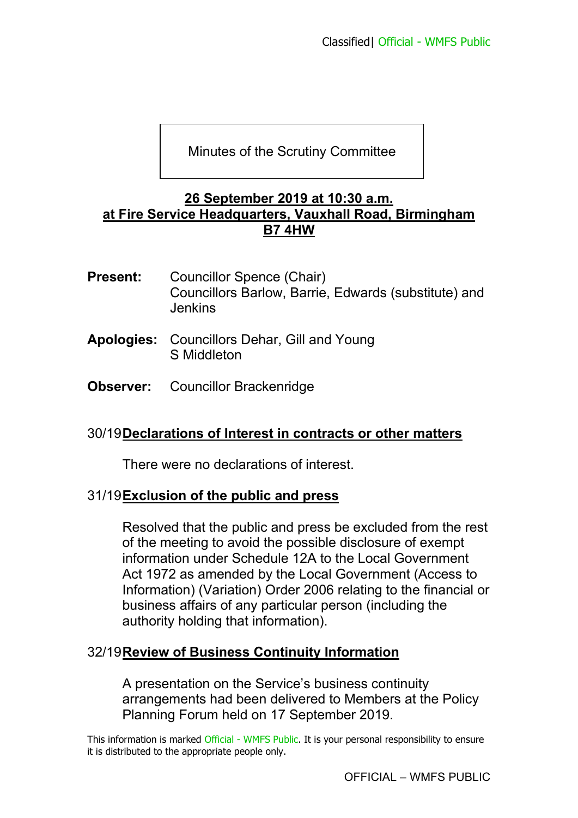Minutes of the Scrutiny Committee

### **26 September 2019 at 10:30 a.m. at Fire Service Headquarters, Vauxhall Road, Birmingham B7 4HW**

- **Present:** Councillor Spence (Chair) Councillors Barlow, Barrie, Edwards (substitute) and Jenkins
- **Apologies:** Councillors Dehar, Gill and Young S Middleton
- **Observer:** Councillor Brackenridge

# 30/19 **Declarations of Interest in contracts or other matters**

There were no declarations of interest.

# 31/19 **Exclusion of the public and press**

Resolved that the public and press be excluded from the rest of the meeting to avoid the possible disclosure of exempt information under Schedule 12A to the Local Government Act 1972 as amended by the Local Government (Access to Information) (Variation) Order 2006 relating to the financial or business affairs of any particular person (including the authority holding that information).

# 32/19 **Review of Business Continuity Information**

A presentation on the Service's business continuity arrangements had been delivered to Members at the Policy Planning Forum held on 17 September 2019.

This information is marked Official - WMFS Public. It is your personal responsibility to ensure it is distributed to the appropriate people only.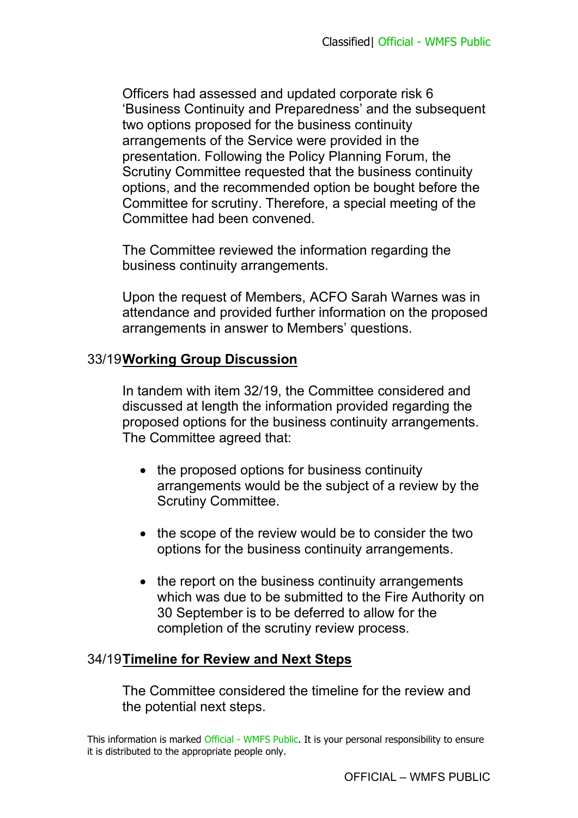Officers had assessed and updated corporate risk 6 'Business Continuity and Preparedness' and the subsequent two options proposed for the business continuity arrangements of the Service were provided in the presentation. Following the Policy Planning Forum, the Scrutiny Committee requested that the business continuity options, and the recommended option be bought before the Committee for scrutiny. Therefore, a special meeting of the Committee had been convened.

The Committee reviewed the information regarding the business continuity arrangements.

Upon the request of Members, ACFO Sarah Warnes was in attendance and provided further information on the proposed arrangements in answer to Members' questions.

### 33/19 **Working Group Discussion**

In tandem with item 32/19, the Committee considered and discussed at length the information provided regarding the proposed options for the business continuity arrangements. The Committee agreed that:

- the proposed options for business continuity arrangements would be the subject of a review by the Scrutiny Committee.
- the scope of the review would be to consider the two options for the business continuity arrangements.
- the report on the business continuity arrangements which was due to be submitted to the Fire Authority on 30 September is to be deferred to allow for the completion of the scrutiny review process.

# 34/19 **Timeline for Review and Next Steps**

The Committee considered the timeline for the review and the potential next steps.

This information is marked Official - WMFS Public. It is your personal responsibility to ensure it is distributed to the appropriate people only.